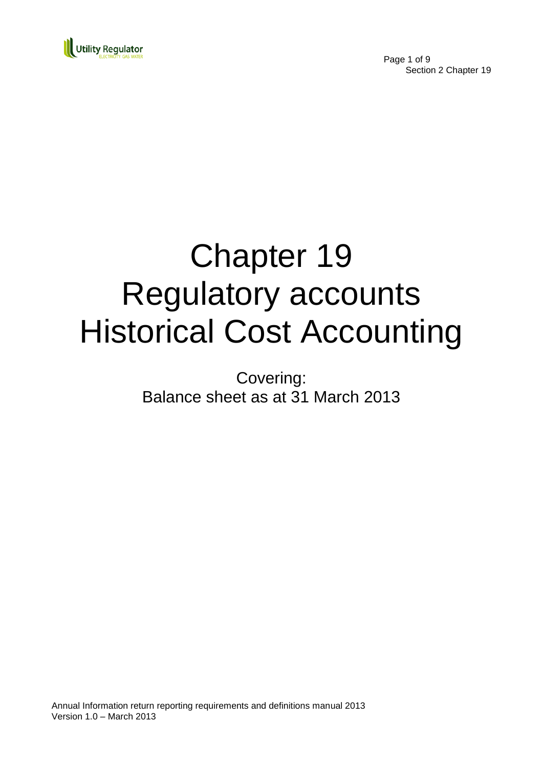

Page 1 of 9 Section 2 Chapter 19

# Chapter 19 Regulatory accounts Historical Cost Accounting

Covering: Balance sheet as at 31 March 2013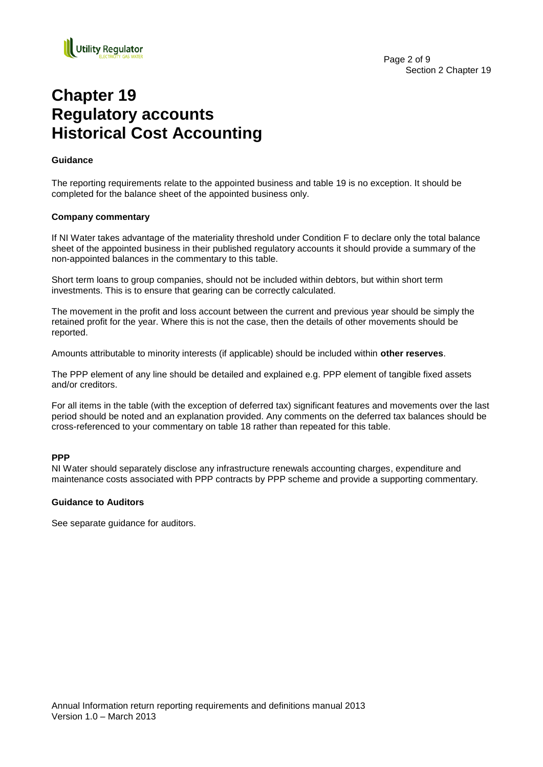

# **Chapter 19 Regulatory accounts Historical Cost Accounting**

#### **Guidance**

The reporting requirements relate to the appointed business and table 19 is no exception. It should be completed for the balance sheet of the appointed business only.

#### **Company commentary**

If NI Water takes advantage of the materiality threshold under Condition F to declare only the total balance sheet of the appointed business in their published regulatory accounts it should provide a summary of the non-appointed balances in the commentary to this table.

Short term loans to group companies, should not be included within debtors, but within short term investments. This is to ensure that gearing can be correctly calculated.

The movement in the profit and loss account between the current and previous year should be simply the retained profit for the year. Where this is not the case, then the details of other movements should be reported.

Amounts attributable to minority interests (if applicable) should be included within **other reserves**.

The PPP element of any line should be detailed and explained e.g. PPP element of tangible fixed assets and/or creditors.

For all items in the table (with the exception of deferred tax) significant features and movements over the last period should be noted and an explanation provided. Any comments on the deferred tax balances should be cross-referenced to your commentary on table 18 rather than repeated for this table.

#### **PPP**

NI Water should separately disclose any infrastructure renewals accounting charges, expenditure and maintenance costs associated with PPP contracts by PPP scheme and provide a supporting commentary.

#### **Guidance to Auditors**

See separate guidance for auditors.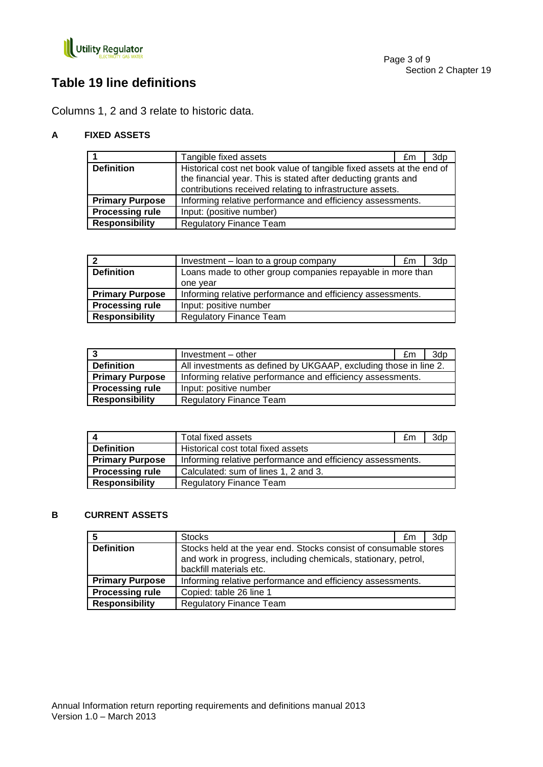

# **Table 19 line definitions**

Columns 1, 2 and 3 relate to historic data.

#### **A FIXED ASSETS**

|                        | Tangible fixed assets                                                 | £m | 3dp |
|------------------------|-----------------------------------------------------------------------|----|-----|
| <b>Definition</b>      | Historical cost net book value of tangible fixed assets at the end of |    |     |
|                        | the financial year. This is stated after deducting grants and         |    |     |
|                        | contributions received relating to infrastructure assets.             |    |     |
| <b>Primary Purpose</b> | Informing relative performance and efficiency assessments.            |    |     |
| <b>Processing rule</b> | Input: (positive number)                                              |    |     |
| <b>Responsibility</b>  | <b>Regulatory Finance Team</b>                                        |    |     |

|                        | Investment - loan to a group company                       | £m | 3dp |
|------------------------|------------------------------------------------------------|----|-----|
| <b>Definition</b>      | Loans made to other group companies repayable in more than |    |     |
|                        | one year                                                   |    |     |
| <b>Primary Purpose</b> | Informing relative performance and efficiency assessments. |    |     |
| <b>Processing rule</b> | Input: positive number                                     |    |     |
| <b>Responsibility</b>  | <b>Regulatory Finance Team</b>                             |    |     |

|                        | Investment - other                                               | £m | 3d <sub>p</sub> |
|------------------------|------------------------------------------------------------------|----|-----------------|
| <b>Definition</b>      | All investments as defined by UKGAAP, excluding those in line 2. |    |                 |
| <b>Primary Purpose</b> | Informing relative performance and efficiency assessments.       |    |                 |
| <b>Processing rule</b> | Input: positive number                                           |    |                 |
| <b>Responsibility</b>  | <b>Regulatory Finance Team</b>                                   |    |                 |

|                        | Total fixed assets                                         | £m | 3dp |
|------------------------|------------------------------------------------------------|----|-----|
| <b>Definition</b>      | Historical cost total fixed assets                         |    |     |
| <b>Primary Purpose</b> | Informing relative performance and efficiency assessments. |    |     |
| <b>Processing rule</b> | Calculated: sum of lines 1, 2 and 3.                       |    |     |
| <b>Responsibility</b>  | <b>Regulatory Finance Team</b>                             |    |     |

#### **B CURRENT ASSETS**

|                        | <b>Stocks</b>                                                                                                                                                 | £m | 3dp |
|------------------------|---------------------------------------------------------------------------------------------------------------------------------------------------------------|----|-----|
| <b>Definition</b>      | Stocks held at the year end. Stocks consist of consumable stores<br>and work in progress, including chemicals, stationary, petrol,<br>backfill materials etc. |    |     |
| <b>Primary Purpose</b> | Informing relative performance and efficiency assessments.                                                                                                    |    |     |
| <b>Processing rule</b> | Copied: table 26 line 1                                                                                                                                       |    |     |
| <b>Responsibility</b>  | <b>Regulatory Finance Team</b>                                                                                                                                |    |     |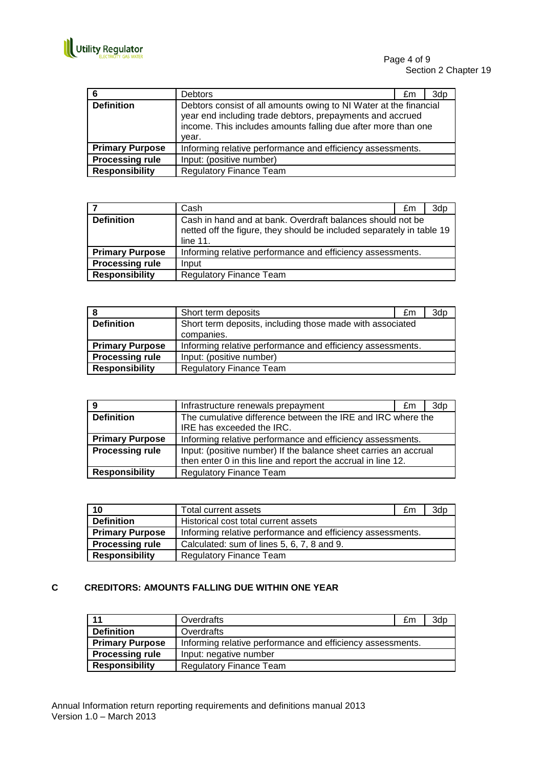

| 6                      | <b>Debtors</b>                                             | £m                                                                                                                                                                                              | 3dp |  |
|------------------------|------------------------------------------------------------|-------------------------------------------------------------------------------------------------------------------------------------------------------------------------------------------------|-----|--|
| <b>Definition</b>      | year.                                                      | Debtors consist of all amounts owing to NI Water at the financial<br>year end including trade debtors, prepayments and accrued<br>income. This includes amounts falling due after more than one |     |  |
| <b>Primary Purpose</b> | Informing relative performance and efficiency assessments. |                                                                                                                                                                                                 |     |  |
| <b>Processing rule</b> | Input: (positive number)                                   |                                                                                                                                                                                                 |     |  |
| <b>Responsibility</b>  | <b>Regulatory Finance Team</b>                             |                                                                                                                                                                                                 |     |  |

|                        | Cash                                                                                                                                               | £m | 3dp |
|------------------------|----------------------------------------------------------------------------------------------------------------------------------------------------|----|-----|
| <b>Definition</b>      | Cash in hand and at bank. Overdraft balances should not be<br>netted off the figure, they should be included separately in table 19<br>line $11$ . |    |     |
| <b>Primary Purpose</b> | Informing relative performance and efficiency assessments.                                                                                         |    |     |
| <b>Processing rule</b> | Input                                                                                                                                              |    |     |
| <b>Responsibility</b>  | <b>Regulatory Finance Team</b>                                                                                                                     |    |     |

| i 8                    | Short term deposits                                                     | £m | 3dp |
|------------------------|-------------------------------------------------------------------------|----|-----|
| <b>Definition</b>      | Short term deposits, including those made with associated<br>companies. |    |     |
| <b>Primary Purpose</b> | Informing relative performance and efficiency assessments.              |    |     |
| <b>Processing rule</b> | Input: (positive number)                                                |    |     |
| <b>Responsibility</b>  | <b>Regulatory Finance Team</b>                                          |    |     |

| 9                      | Infrastructure renewals prepayment                                                                                               | £m | 3dp |
|------------------------|----------------------------------------------------------------------------------------------------------------------------------|----|-----|
| <b>Definition</b>      | The cumulative difference between the IRE and IRC where the                                                                      |    |     |
|                        | IRE has exceeded the IRC.                                                                                                        |    |     |
| <b>Primary Purpose</b> | Informing relative performance and efficiency assessments.                                                                       |    |     |
| <b>Processing rule</b> | Input: (positive number) If the balance sheet carries an accrual<br>then enter 0 in this line and report the accrual in line 12. |    |     |
| <b>Responsibility</b>  | <b>Regulatory Finance Team</b>                                                                                                   |    |     |

| 10                     | Total current assets                                       | £m | 3dp |
|------------------------|------------------------------------------------------------|----|-----|
| <b>Definition</b>      | Historical cost total current assets                       |    |     |
| <b>Primary Purpose</b> | Informing relative performance and efficiency assessments. |    |     |
| <b>Processing rule</b> | Calculated: sum of lines 5, 6, 7, 8 and 9.                 |    |     |
| <b>Responsibility</b>  | <b>Regulatory Finance Team</b>                             |    |     |

#### **C CREDITORS: AMOUNTS FALLING DUE WITHIN ONE YEAR**

| l 11                   | Overdrafts                                                 | £m | 3dp |
|------------------------|------------------------------------------------------------|----|-----|
| <b>Definition</b>      | Overdrafts                                                 |    |     |
| <b>Primary Purpose</b> | Informing relative performance and efficiency assessments. |    |     |
| <b>Processing rule</b> | Input: negative number                                     |    |     |
| <b>Responsibility</b>  | <b>Regulatory Finance Team</b>                             |    |     |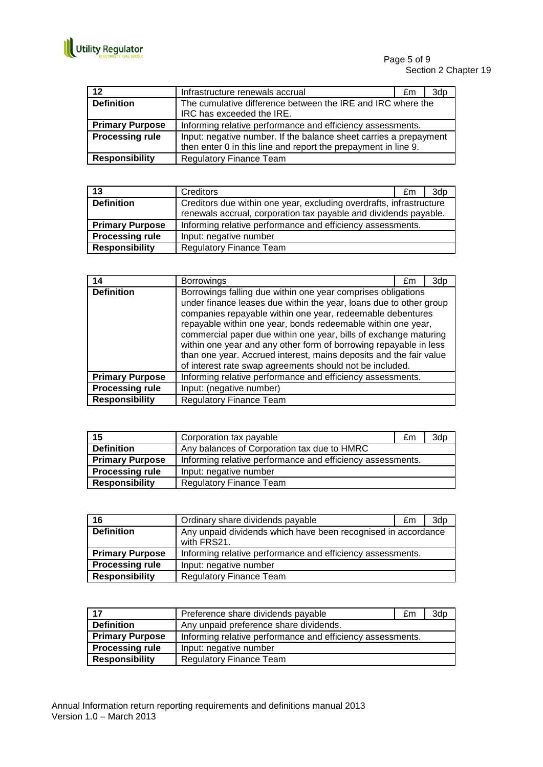

| 12                     | Infrastructure renewals accrual                                   | £m | 3dp |
|------------------------|-------------------------------------------------------------------|----|-----|
| <b>Definition</b>      | The cumulative difference between the IRE and IRC where the       |    |     |
|                        | IRC has exceeded the IRE.                                         |    |     |
| <b>Primary Purpose</b> | Informing relative performance and efficiency assessments.        |    |     |
| <b>Processing rule</b> | Input: negative number. If the balance sheet carries a prepayment |    |     |
|                        | then enter 0 in this line and report the prepayment in line 9.    |    |     |
| <b>Responsibility</b>  | <b>Regulatory Finance Team</b>                                    |    |     |

| 13                     | Creditors                                                           | £m | 3dp |
|------------------------|---------------------------------------------------------------------|----|-----|
| <b>Definition</b>      | Creditors due within one year, excluding overdrafts, infrastructure |    |     |
|                        | renewals accrual, corporation tax payable and dividends payable.    |    |     |
| <b>Primary Purpose</b> | Informing relative performance and efficiency assessments.          |    |     |
| <b>Processing rule</b> | Input: negative number                                              |    |     |
| <b>Responsibility</b>  | <b>Regulatory Finance Team</b>                                      |    |     |

| 14                     | <b>Borrowings</b>                                                                                                                                                                                                                                                                                                                                                                                                                                                                                                                           | £m | 3dp |
|------------------------|---------------------------------------------------------------------------------------------------------------------------------------------------------------------------------------------------------------------------------------------------------------------------------------------------------------------------------------------------------------------------------------------------------------------------------------------------------------------------------------------------------------------------------------------|----|-----|
| <b>Definition</b>      | Borrowings falling due within one year comprises obligations<br>under finance leases due within the year, loans due to other group<br>companies repayable within one year, redeemable debentures<br>repayable within one year, bonds redeemable within one year,<br>commercial paper due within one year, bills of exchange maturing<br>within one year and any other form of borrowing repayable in less<br>than one year. Accrued interest, mains deposits and the fair value<br>of interest rate swap agreements should not be included. |    |     |
| <b>Primary Purpose</b> | Informing relative performance and efficiency assessments.                                                                                                                                                                                                                                                                                                                                                                                                                                                                                  |    |     |
| <b>Processing rule</b> | Input: (negative number)                                                                                                                                                                                                                                                                                                                                                                                                                                                                                                                    |    |     |
| <b>Responsibility</b>  | <b>Regulatory Finance Team</b>                                                                                                                                                                                                                                                                                                                                                                                                                                                                                                              |    |     |

| 15                     | Corporation tax payable                                    | £m | 3d <sub>p</sub> |
|------------------------|------------------------------------------------------------|----|-----------------|
| <b>Definition</b>      | Any balances of Corporation tax due to HMRC                |    |                 |
| <b>Primary Purpose</b> | Informing relative performance and efficiency assessments. |    |                 |
| <b>Processing rule</b> | Input: negative number                                     |    |                 |
| <b>Responsibility</b>  | <b>Regulatory Finance Team</b>                             |    |                 |

| 16                     | Ordinary share dividends payable                                             | £m | 3dp |
|------------------------|------------------------------------------------------------------------------|----|-----|
| <b>Definition</b>      | Any unpaid dividends which have been recognised in accordance<br>with FRS21. |    |     |
| <b>Primary Purpose</b> | Informing relative performance and efficiency assessments.                   |    |     |
| <b>Processing rule</b> | Input: negative number                                                       |    |     |
| <b>Responsibility</b>  | <b>Regulatory Finance Team</b>                                               |    |     |

| 17                     | Preference share dividends payable                         | £m | 3dp |
|------------------------|------------------------------------------------------------|----|-----|
| <b>Definition</b>      | Any unpaid preference share dividends.                     |    |     |
| <b>Primary Purpose</b> | Informing relative performance and efficiency assessments. |    |     |
| <b>Processing rule</b> | Input: negative number                                     |    |     |
| <b>Responsibility</b>  | <b>Regulatory Finance Team</b>                             |    |     |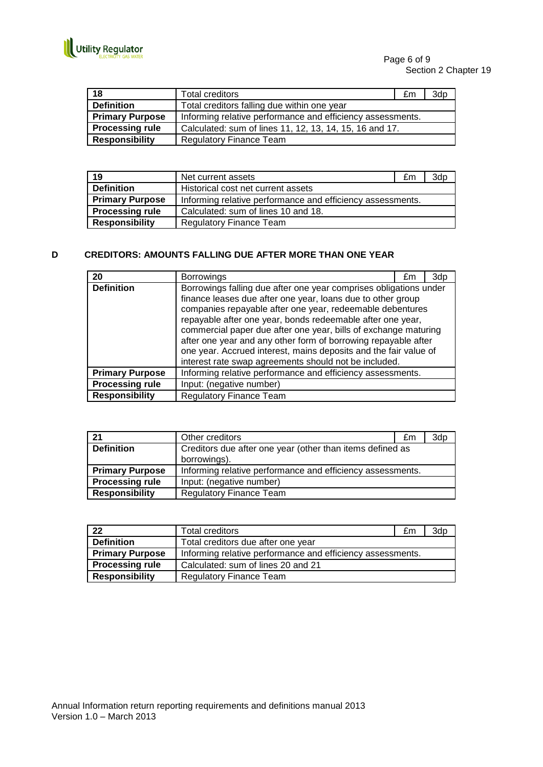

| 18                     | Total creditors                                            | £m | 3dp |
|------------------------|------------------------------------------------------------|----|-----|
| <b>Definition</b>      | Total creditors falling due within one year                |    |     |
| <b>Primary Purpose</b> | Informing relative performance and efficiency assessments. |    |     |
| <b>Processing rule</b> | Calculated: sum of lines 11, 12, 13, 14, 15, 16 and 17.    |    |     |
| <b>Responsibility</b>  | <b>Regulatory Finance Team</b>                             |    |     |

| 19                     | Net current assets                                         | £m | 3dp |
|------------------------|------------------------------------------------------------|----|-----|
| <b>Definition</b>      | Historical cost net current assets                         |    |     |
| <b>Primary Purpose</b> | Informing relative performance and efficiency assessments. |    |     |
| <b>Processing rule</b> | Calculated: sum of lines 10 and 18.                        |    |     |
| <b>Responsibility</b>  | <b>Regulatory Finance Team</b>                             |    |     |

#### **D CREDITORS: AMOUNTS FALLING DUE AFTER MORE THAN ONE YEAR**

| 20                     | <b>Borrowings</b>                                                                                                                                                                                                                                                                                                                                                                                                                                        | £m | 3dp |
|------------------------|----------------------------------------------------------------------------------------------------------------------------------------------------------------------------------------------------------------------------------------------------------------------------------------------------------------------------------------------------------------------------------------------------------------------------------------------------------|----|-----|
| <b>Definition</b>      | Borrowings falling due after one year comprises obligations under                                                                                                                                                                                                                                                                                                                                                                                        |    |     |
|                        | finance leases due after one year, loans due to other group<br>companies repayable after one year, redeemable debentures<br>repayable after one year, bonds redeemable after one year,<br>commercial paper due after one year, bills of exchange maturing<br>after one year and any other form of borrowing repayable after<br>one year. Accrued interest, mains deposits and the fair value of<br>interest rate swap agreements should not be included. |    |     |
| <b>Primary Purpose</b> | Informing relative performance and efficiency assessments.                                                                                                                                                                                                                                                                                                                                                                                               |    |     |
| <b>Processing rule</b> | Input: (negative number)                                                                                                                                                                                                                                                                                                                                                                                                                                 |    |     |
| <b>Responsibility</b>  | <b>Regulatory Finance Team</b>                                                                                                                                                                                                                                                                                                                                                                                                                           |    |     |

| 21                     | Other creditors                                            | £m | 3dp |
|------------------------|------------------------------------------------------------|----|-----|
| <b>Definition</b>      | Creditors due after one year (other than items defined as  |    |     |
|                        | borrowings).                                               |    |     |
| <b>Primary Purpose</b> | Informing relative performance and efficiency assessments. |    |     |
| <b>Processing rule</b> | Input: (negative number)                                   |    |     |
| <b>Responsibility</b>  | <b>Regulatory Finance Team</b>                             |    |     |

| 22                     | Total creditors                                            | £m | 3dp |
|------------------------|------------------------------------------------------------|----|-----|
| <b>Definition</b>      | Total creditors due after one year                         |    |     |
| <b>Primary Purpose</b> | Informing relative performance and efficiency assessments. |    |     |
| <b>Processing rule</b> | Calculated: sum of lines 20 and 21                         |    |     |
| <b>Responsibility</b>  | Regulatory Finance Team                                    |    |     |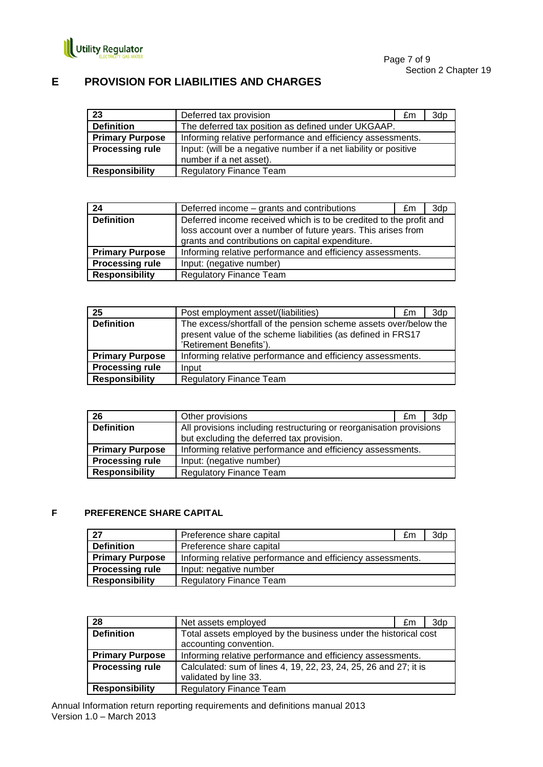

### **E PROVISION FOR LIABILITIES AND CHARGES**

| 23                     | Deferred tax provision                                           | £m | 3dp |
|------------------------|------------------------------------------------------------------|----|-----|
| <b>Definition</b>      | The deferred tax position as defined under UKGAAP.               |    |     |
| <b>Primary Purpose</b> | Informing relative performance and efficiency assessments.       |    |     |
| <b>Processing rule</b> | Input: (will be a negative number if a net liability or positive |    |     |
|                        | number if a net asset).                                          |    |     |
| <b>Responsibility</b>  | <b>Regulatory Finance Team</b>                                   |    |     |

| 24                     | Deferred income – grants and contributions                                                                                         | £m | 3d <sub>p</sub> |
|------------------------|------------------------------------------------------------------------------------------------------------------------------------|----|-----------------|
| <b>Definition</b>      | Deferred income received which is to be credited to the profit and<br>loss account over a number of future years. This arises from |    |                 |
| <b>Primary Purpose</b> | grants and contributions on capital expenditure.<br>Informing relative performance and efficiency assessments.                     |    |                 |
| <b>Processing rule</b> | Input: (negative number)                                                                                                           |    |                 |
| <b>Responsibility</b>  | <b>Regulatory Finance Team</b>                                                                                                     |    |                 |

| 25                     | Post employment asset/(liabilities)                                                                                                                         | £m | 3dp |
|------------------------|-------------------------------------------------------------------------------------------------------------------------------------------------------------|----|-----|
| <b>Definition</b>      | The excess/shortfall of the pension scheme assets over/below the<br>present value of the scheme liabilities (as defined in FRS17<br>'Retirement Benefits'). |    |     |
| <b>Primary Purpose</b> | Informing relative performance and efficiency assessments.                                                                                                  |    |     |
| <b>Processing rule</b> | Input                                                                                                                                                       |    |     |
| <b>Responsibility</b>  | <b>Regulatory Finance Team</b>                                                                                                                              |    |     |

| 26                     | Other provisions                                                    | £m | 3d <sub>p</sub> |
|------------------------|---------------------------------------------------------------------|----|-----------------|
| <b>Definition</b>      | All provisions including restructuring or reorganisation provisions |    |                 |
|                        | but excluding the deferred tax provision.                           |    |                 |
| <b>Primary Purpose</b> | Informing relative performance and efficiency assessments.          |    |                 |
| <b>Processing rule</b> | Input: (negative number)                                            |    |                 |
| <b>Responsibility</b>  | <b>Regulatory Finance Team</b>                                      |    |                 |

#### **F PREFERENCE SHARE CAPITAL**

| 27                     | Preference share capital                                   | £m | 3dp |
|------------------------|------------------------------------------------------------|----|-----|
| <b>Definition</b>      | Preference share capital                                   |    |     |
| <b>Primary Purpose</b> | Informing relative performance and efficiency assessments. |    |     |
| <b>Processing rule</b> | Input: negative number                                     |    |     |
| <b>Responsibility</b>  | <b>Regulatory Finance Team</b>                             |    |     |

| 28                     | Net assets employed                                                                       | £m | 3dp |
|------------------------|-------------------------------------------------------------------------------------------|----|-----|
| <b>Definition</b>      | Total assets employed by the business under the historical cost<br>accounting convention. |    |     |
| <b>Primary Purpose</b> | Informing relative performance and efficiency assessments.                                |    |     |
| <b>Processing rule</b> | Calculated: sum of lines 4, 19, 22, 23, 24, 25, 26 and 27; it is<br>validated by line 33. |    |     |
| <b>Responsibility</b>  | <b>Regulatory Finance Team</b>                                                            |    |     |

Annual Information return reporting requirements and definitions manual 2013 Version 1.0 – March 2013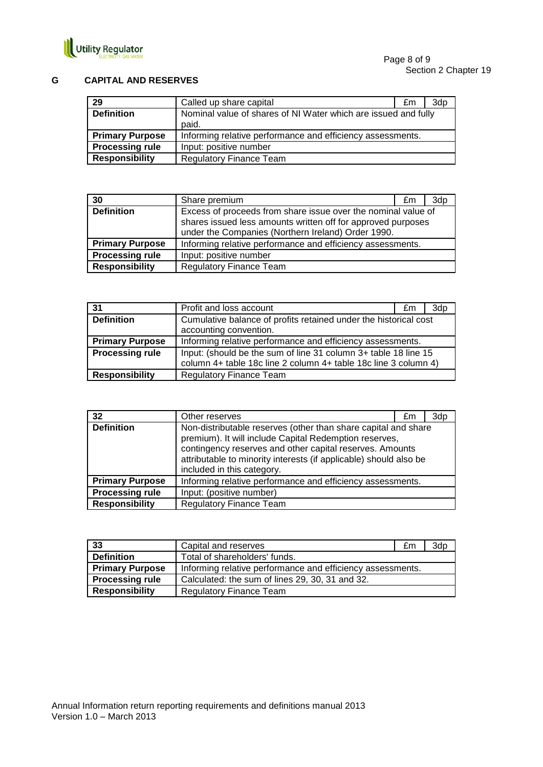

#### **G CAPITAL AND RESERVES**

| 29                     | Called up share capital                                        | £m | 3dp |
|------------------------|----------------------------------------------------------------|----|-----|
| <b>Definition</b>      | Nominal value of shares of NI Water which are issued and fully |    |     |
|                        | paid.                                                          |    |     |
| <b>Primary Purpose</b> | Informing relative performance and efficiency assessments.     |    |     |
| <b>Processing rule</b> | Input: positive number                                         |    |     |
| <b>Responsibility</b>  | <b>Regulatory Finance Team</b>                                 |    |     |

| 30                     | Share premium                                                                                                                                                                       | £m | 3dp |
|------------------------|-------------------------------------------------------------------------------------------------------------------------------------------------------------------------------------|----|-----|
| <b>Definition</b>      | Excess of proceeds from share issue over the nominal value of<br>shares issued less amounts written off for approved purposes<br>under the Companies (Northern Ireland) Order 1990. |    |     |
| <b>Primary Purpose</b> | Informing relative performance and efficiency assessments.                                                                                                                          |    |     |
| <b>Processing rule</b> | Input: positive number                                                                                                                                                              |    |     |
| <b>Responsibility</b>  | <b>Regulatory Finance Team</b>                                                                                                                                                      |    |     |

| 31                     | Profit and loss account                                                                                                            | £m | 3dp |
|------------------------|------------------------------------------------------------------------------------------------------------------------------------|----|-----|
| <b>Definition</b>      | Cumulative balance of profits retained under the historical cost                                                                   |    |     |
|                        | accounting convention.                                                                                                             |    |     |
| <b>Primary Purpose</b> | Informing relative performance and efficiency assessments.                                                                         |    |     |
| <b>Processing rule</b> | Input: (should be the sum of line 31 column 3+ table 18 line 15<br>column 4+ table 18c line 2 column 4+ table 18c line 3 column 4) |    |     |
| <b>Responsibility</b>  | <b>Regulatory Finance Team</b>                                                                                                     |    |     |

| 32                     | Other reserves                                                                                                                                                                                                                                                                          | £m |  |
|------------------------|-----------------------------------------------------------------------------------------------------------------------------------------------------------------------------------------------------------------------------------------------------------------------------------------|----|--|
| <b>Definition</b>      | Non-distributable reserves (other than share capital and share<br>premium). It will include Capital Redemption reserves,<br>contingency reserves and other capital reserves. Amounts<br>attributable to minority interests (if applicable) should also be<br>included in this category. |    |  |
| <b>Primary Purpose</b> | Informing relative performance and efficiency assessments.                                                                                                                                                                                                                              |    |  |
| <b>Processing rule</b> | Input: (positive number)                                                                                                                                                                                                                                                                |    |  |
| <b>Responsibility</b>  | <b>Regulatory Finance Team</b>                                                                                                                                                                                                                                                          |    |  |

| 33                     | Capital and reserves                                       | £m | 3dp |
|------------------------|------------------------------------------------------------|----|-----|
| <b>Definition</b>      | Total of shareholders' funds.                              |    |     |
| <b>Primary Purpose</b> | Informing relative performance and efficiency assessments. |    |     |
| <b>Processing rule</b> | Calculated: the sum of lines 29, 30, 31 and 32.            |    |     |
| <b>Responsibility</b>  | <b>Regulatory Finance Team</b>                             |    |     |